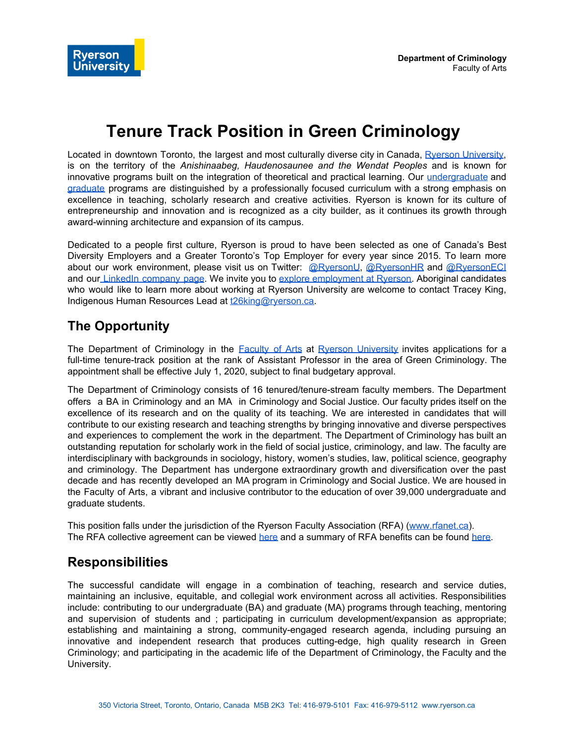# **Tenure Track Position in Green Criminology**

Located in downtown Toronto, the largest and most culturally diverse city in Canada, Ryerson [University](http://www.ryerson.ca/), is on the territory of the *Anishinaabeg, Haudenosaunee and the Wendat Peoples* and is known for innovative programs built on the integration of theoretical and practical learning. Our [undergraduate](https://www.ryerson.ca/programs/undergraduate/) and [graduate](https://www.ryerson.ca/graduate/programs/) programs are distinguished by a professionally focused curriculum with a strong emphasis on excellence in teaching, scholarly research and creative activities. Ryerson is known for its culture of entrepreneurship and innovation and is recognized as a city builder, as it continues its growth through award-winning architecture and expansion of its campus.

Dedicated to a people first culture, Ryerson is proud to have been selected as one of Canada's Best Diversity Employers and a Greater Toronto's Top Employer for every year since 2015. To learn more about our work environment, please visit us on Twitter: [@RyersonU](https://twitter.com/RyersonU?ref_src=twsrc%5Egoogle%7Ctwcamp%5Eserp%7Ctwgr%5Eauthor), [@RyersonHR](https://twitter.com/ryersonhr?lang=en) and [@RyersonECI](https://twitter.com/ryersoneci?lang=en) and our LinkedIn [company](https://ca.linkedin.com/school/ryerson-university/) page. We invite you to explore [employment](https://docs.google.com/document/d/154JfNXFAQwh2aeyUchYtpapN22R8RYVy4iVuLY5fxt8/edit?ts=5c5c5329#) at Ryerson. Aboriginal candidates who would like to learn more about working at Ryerson University are welcome to contact Tracey King, Indigenous Human Resources Lead at [t26king@ryerson.ca](mailto:t26king@ryerson.ca).

#### **The Opportunity**

The Department of Criminology in the [Faculty](https://www.ryerson.ca/arts/) of Arts at Ryerson [University](http://www.ryerson.ca/) invites applications for a full-time tenure-track position at the rank of Assistant Professor in the area of Green Criminology. The appointment shall be effective July 1, 2020, subject to final budgetary approval.

The Department of Criminology consists of 16 tenured/tenure-stream faculty members. The Department offers a BA in Criminology and an MA in Criminology and Social Justice. Our faculty prides itself on the excellence of its research and on the quality of its teaching. We are interested in candidates that will contribute to our existing research and teaching strengths by bringing innovative and diverse perspectives and experiences to complement the work in the department. The Department of Criminology has built an outstanding reputation for scholarly work in the field of social justice, criminology, and law. The faculty are interdisciplinary with backgrounds in sociology, history, women's studies, law, political science, geography and criminology. The Department has undergone extraordinary growth and diversification over the past decade and has recently developed an MA program in Criminology and Social Justice. We are housed in the Faculty of Arts, a vibrant and inclusive contributor to the education of over 39,000 undergraduate and graduate students.

This position falls under the jurisdiction of the Ryerson Faculty Association (RFA) ([www.rfanet.ca\)](http://www.rfanet.ca/). The RFA collective agreement can be viewe[d](https://www.ryerson.ca/hr/employee-resources/rfa/full-time-LTF/collective-agreement/) [here](https://www.ryerson.ca/hr/employee-resources/rfa/full-time-LTF/collective-agreement/) and a summary of RFA benefits can be found [here.](https://www.ryerson.ca/hr/employee-resources/rfa/full-time-LTF/benefits/)

#### **Responsibilities**

The successful candidate will engage in a combination of teaching, research and service duties, maintaining an inclusive, equitable, and collegial work environment across all activities. Responsibilities include: contributing to our undergraduate (BA) and graduate (MA) programs through teaching, mentoring and supervision of students and ; participating in curriculum development/expansion as appropriate; establishing and maintaining a strong, community-engaged research agenda, including pursuing an innovative and independent research that produces cutting-edge, high quality research in Green Criminology; and participating in the academic life of the Department of Criminology, the Faculty and the University.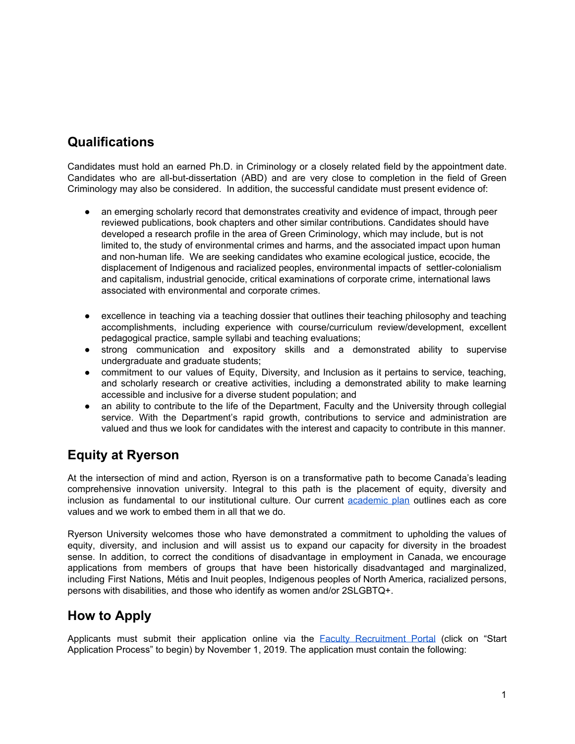## **Qualifications**

Candidates must hold an earned Ph.D. in Criminology or a closely related field by the appointment date. Candidates who are all-but-dissertation (ABD) and are very close to completion in the field of Green Criminology may also be considered. In addition, the successful candidate must present evidence of:

- an emerging scholarly record that demonstrates creativity and evidence of impact, through peer reviewed publications, book chapters and other similar contributions. Candidates should have developed a research profile in the area of Green Criminology, which may include, but is not limited to, the study of environmental crimes and harms, and the associated impact upon human and non-human life. We are seeking candidates who examine ecological justice, ecocide, the displacement of Indigenous and racialized peoples, environmental impacts of settler-colonialism and capitalism, industrial genocide, critical examinations of corporate crime, international laws associated with environmental and corporate crimes.
- excellence in teaching via a teaching dossier that outlines their teaching philosophy and teaching accomplishments, including experience with course/curriculum review/development, excellent pedagogical practice, sample syllabi and teaching evaluations;
- strong communication and expository skills and a demonstrated ability to supervise undergraduate and graduate students;
- commitment to our values of Equity, Diversity, and Inclusion as it pertains to service, teaching, and scholarly research or creative activities, including a demonstrated ability to make learning accessible and inclusive for a diverse student population; and
- an ability to contribute to the life of the Department, Faculty and the University through collegial service. With the Department's rapid growth, contributions to service and administration are valued and thus we look for candidates with the interest and capacity to contribute in this manner.

## **Equity at Ryerson**

At the intersection of mind and action, Ryerson is on a transformative path to become Canada's leading comprehensive innovation university. Integral to this path is the placement of equity, diversity and inclusion as fundamental to our institutional culture. Our curren[t](https://www.ryerson.ca/content/dam/provost/PDFs/RU_Academic%20Plan_2014_ExecutiveSummary.pdf) [academic](https://www.ryerson.ca/content/dam/provost/PDFs/RU_Academic%20Plan_2014_ExecutiveSummary.pdf) plan outlines each as core values and we work to embed them in all that we do.

Ryerson University welcomes those who have demonstrated a commitment to upholding the values of equity, diversity, and inclusion and will assist us to expand our capacity for diversity in the broadest sense. In addition, to correct the conditions of disadvantage in employment in Canada, we encourage applications from members of groups that have been historically disadvantaged and marginalized, including First Nations, Métis and Inuit peoples, Indigenous peoples of North America, racialized persons, persons with disabilities, and those who identify as women and/or 2SLGBTQ+.

## **How to Apply**

Applicants must submit their application online via the **Faculty [Recruitment](https://hr.cf.ryerson.ca/ams/faculty/) Portal** (click on "Start Application Process" to begin) by November 1, 2019. The application must contain the following: